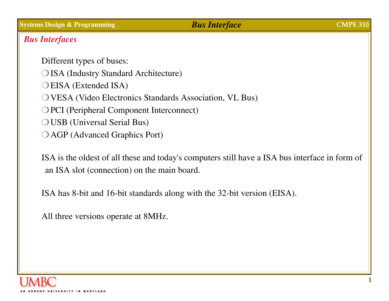### *Bus Interfaces*

Different types of buses: O ISA (Industry Standard Architecture)  $O$  EISA (Extended ISA) O VESA (Video Electronics Standards Association, VL Bus) O PCI (Peripheral Component Interconnect)  $\bigcirc$  USB (Universal Serial Bus) O AGP (Advanced Graphics Port)

ISA is the oldest of all these and today's computers still have a ISA bus interface in form of an ISA slot (connection) on the main board.

ISA has 8-bit and 16-bit standards along with the 32-bit version (EISA).

All three versions operate at 8MHz.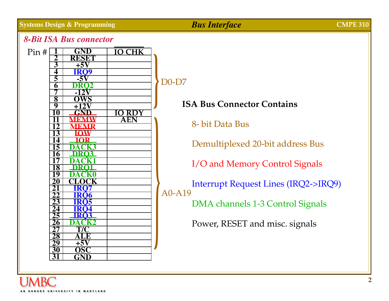

# D0-D7

# **ISA Bus Connector Contains**

8- bit Data Bus

Demultiplexed 20-bit address Bus

I/O and Memory Control Signals

Interrupt Request Lines (IRQ2->IRQ9)

DMA channels 1-3 Control Signals

Power, RESET and misc. signals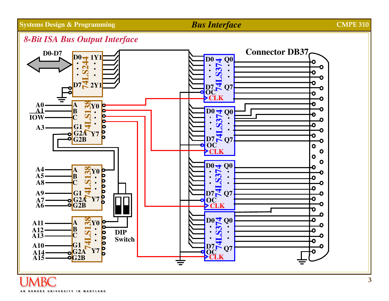### *8-Bit ISA Bus Output Interface*

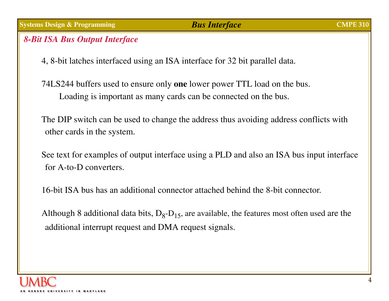### *8-Bit ISA Bus Output Interface*

4, 8-bit latches interfaced using an ISA interface for 32 bit parallel data.

74LS244 buffers used to ensure only **one** lower power TTL load on the bus. Loading is important as many cards can be connected on the bus.

The DIP switch can be used to change the address thus avoiding address conflicts with other cards in the system.

See text for examples of output interface using a PLD and also an ISA bus input interface for A-to-D converters.

16-bit ISA bus has an additional connector attached behind the 8-bit connector.

Although 8 additional data bits,  $D_8-D_{15}$ , are available, the features most often used are the additional interrupt request and DMA request signals.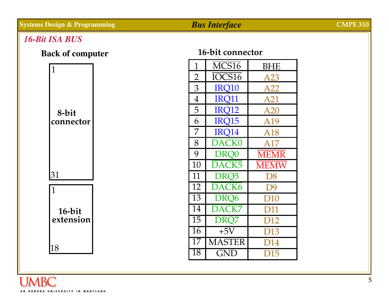### *16-Bit ISA BUS*





### **16-bit connector**

| $\overline{1}$        | MCS16             | BHE             |
|-----------------------|-------------------|-----------------|
| $\overline{2}$        | IOCS16            | A23             |
| 3                     | IRO10             | A22             |
| $\overline{4}$        | <b>IRO11</b>      | A21             |
| 5                     | <b>IRO12</b>      | A20             |
| 6                     | <b>IRO15</b>      | A19             |
| 7                     | IRO14             | A18             |
| 8                     | <b>DACK0</b>      | A17             |
| 9                     | DRO <sub>0</sub>  | <b>MEMR</b>     |
|                       |                   |                 |
| 10                    | DACK5             | <b>MEMW</b>     |
| 11                    | DRQ5              | D8              |
| 12                    | DACK <sub>6</sub> | D <sub>9</sub>  |
| 13                    | DRO <sub>6</sub>  | D <sub>10</sub> |
| 14                    | DACK7             | <b>D11</b>      |
| $\overline{15}$       | DR <sub>Q</sub> 7 | D <sub>12</sub> |
| $\overline{16}$       | $+5V$             | D13             |
| 17<br>$\overline{18}$ | <b>MASTER</b>     | D14             |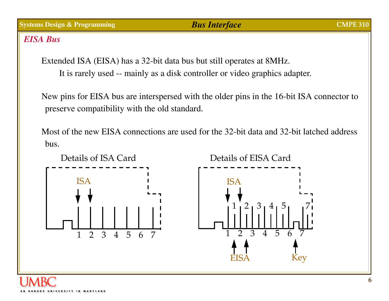**6**

### *EISA Bus*

Extended ISA (EISA) has a 32-bit data bus but still operates at 8MHz. It is rarely used -- mainly as a disk controller or video graphics adapter.

New pins for EISA bus are interspersed with the older pins in the 16-bit ISA connector to preserve compatibility with the old standard.

Most of the new EISA connections are used for the 32-bit data and 32-bit latched address bus.

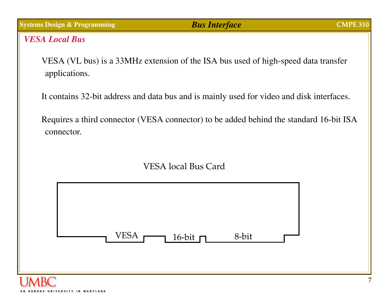*VESA Local Bus*

VESA (VL bus) is a 33MHz extension of the ISA bus used of high-speed data transfer applications.

It contains 32-bit address and data bus and is mainly used for video and disk interfaces.

Requires a third connector (VESA connector) to be added behind the standard 16-bit ISA connector.



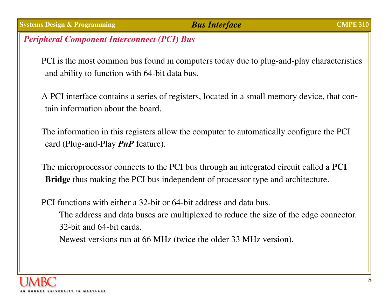# *Peripheral Component Interconnect (PCI) Bus*

PCI is the most common bus found in computers today due to plug-and-play characteristics and ability to function with 64-bit data bus.

A PCI interface contains a series of registers, located in a small memory device, that contain information about the board.

The information in this registers allow the computer to automatically configure the PCI card (Plug-and-Play *PnP* feature).

The microprocessor connects to the PCI bus through an integrated circuit called a **PCI Bridge** thus making the PCI bus independent of processor type and architecture.

PCI functions with either a 32-bit or 64-bit address and data bus.The address and data buses are multiplexed to reduce the size of the edge connector. 32-bit and 64-bit cards.

Newest versions run at 66 MHz (twice the older 33 MHz version).

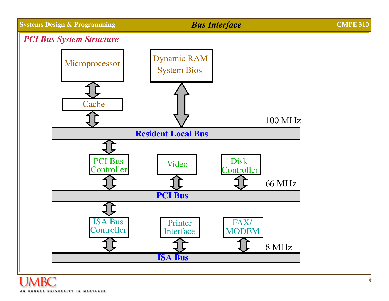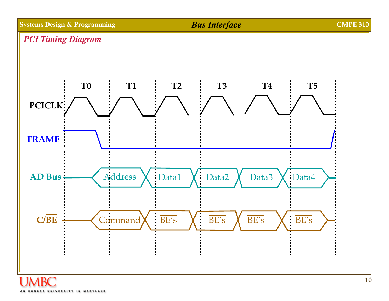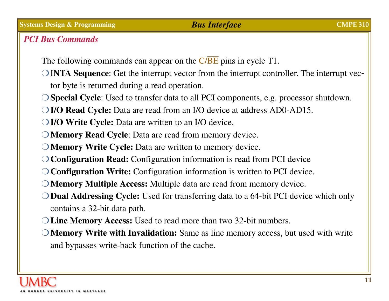# *PCI Bus Commands*

The following commands can appear on the  $C/BE$  pins in cycle T1.

- **OINTA Sequence:** Get the interrupt vector from the interrupt controller. The interrupt vector byte is returned during a read operation.
- P**Special Cycle**: Used to transfer data to all PCI components, e.g. processor shutdown.
- P **I/O Read Cycle:** Data are read from an I/O device at address AD0-AD15.
- **PI/O Write Cycle:** Data are written to an I/O device.
- **PMemory Read Cycle:** Data are read from memory device.
- **O Memory Write Cycle:** Data are written to memory device.
- **O Configuration Read:** Configuration information is read from PCI device
- P**Configuration Write:** Configuration information is written to PCI device.
- **O Memory Multiple Access:** Multiple data are read from memory device.
- **O Dual Addressing Cycle:** Used for transferring data to a 64-bit PCI device which only contains a 32-bit data path.
- P **Line Memory Access:** Used to read more than two 32-bit numbers.
- **PMemory Write with Invalidation:** Same as line memory access, but used with write and bypasses write-back function of the cache.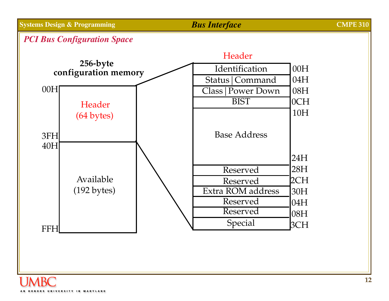### *PCI Bus Configuration Space*

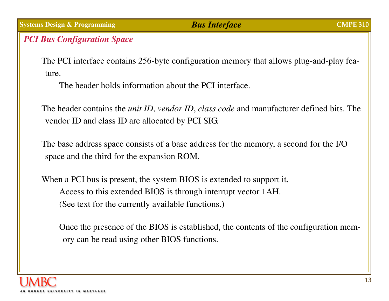### *PCI Bus Configuration Space*

The PCI interface contains 256-byte configuration memory that allows plug-and-play feature.

The header holds information about the PCI interface.

The header contains the *unit ID*, *vendor ID*, *class code* and manufacturer defined bits. The vendor ID and class ID are allocated by PCI SIG.

The base address space consists of a base address for the memory, a second for the I/O space and the third for the expansion ROM.

When a PCI bus is present, the system BIOS is extended to support it. Access to this extended BIOS is through interrupt vector 1AH. (See text for the currently available functions.)

Once the presence of the BIOS is established, the contents of the configuration memory can be read using other BIOS functions.

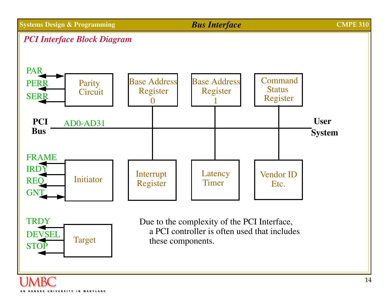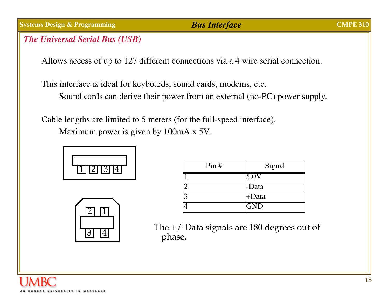### *The Universal Serial Bus (USB)*

Allows access of up to 127 different connections via a 4 wire serial connection.

This interface is ideal for keyboards, sound cards, modems, etc. Sound cards can derive their power from an external (no-PC) power supply.

Cable lengths are limited to 5 meters (for the full-speed interface).

Maximum power is given by 100mA x 5V.



|  | 4 |  |
|--|---|--|

| Pin# | Signal          |
|------|-----------------|
|      | $5.0\mathrm{V}$ |
|      | -Data           |
|      | +Data           |
|      | <b>GND</b>      |

The +/-Data signals are 180 degrees out of phase.

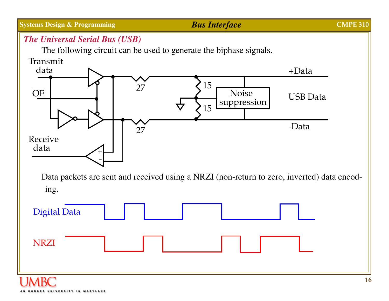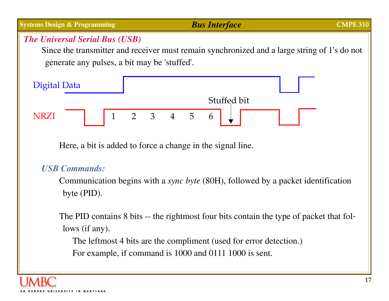# **Systems Design & Programming** *Bus Interface* **CMPE 310** *The Universal Serial Bus (USB)*

Since the transmitter and receiver must remain synchronized and a large string of 1's do not generate any pulses, a bit may be 'stuffed'.



Here, a bit is added to force a change in the signal line.

# *USB Commands:*

Communication begins with a *sync byte* (80H), followed by a packet identification byte (PID).

The PID contains 8 bits -- the rightmost four bits contain the type of packet that follows (if any).

The leftmost 4 bits are the compliment (used for error detection.) For example, if command is 1000 and 0111 1000 is sent.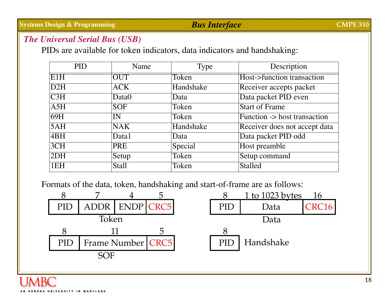### *The Universal Serial Bus (USB)*

PIDs are available for token indicators, data indicators and handshaking:

| <b>PID</b>              | Name         | Type      | Description                   |
|-------------------------|--------------|-----------|-------------------------------|
| E1H                     | <b>OUT</b>   | Token     | Host->function transaction    |
| $\overline{\text{D2H}}$ | <b>ACK</b>   | Handshake | Receiver accepts packet       |
| $\overline{\text{C3H}}$ | Data0        | Data      | Data packet PID even          |
| $\overline{A5H}$        | <b>SOF</b>   | Token     | <b>Start of Frame</b>         |
| 69H                     | IN           | Token     | Function -> host transaction  |
| 5AH                     | <b>NAK</b>   | Handshake | Receiver does not accept data |
| $\overline{ABH}$        | Data1        | Data      | Data packet PID odd           |
| 3CH                     | <b>PRE</b>   | Special   | Host preamble                 |
| 2DH                     | Setup        | Token     | Setup command                 |
| 1EH                     | <b>Stall</b> | Token     | <b>Stalled</b>                |

Formats of the data, token, handshaking and start-of-frame are as follows:

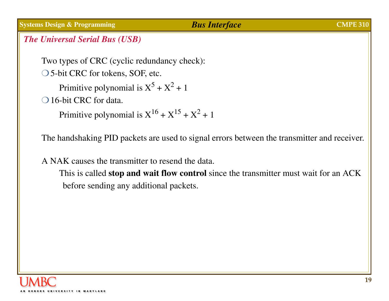### *The Universal Serial Bus (USB)*

Two types of CRC (cyclic redundancy check):

 $\bigcirc$  5-bit CRC for tokens, SOF, etc.

Primitive polynomial is  $X^5 + X^2 + 1$ 

 $\bigcirc$  16-bit CRC for data.

Primitive polynomial is  $X^{16} + X^{15} + X^2 + 1$ 

The handshaking PID packets are used to signal errors between the transmitter and receiver.

A NAK causes the transmitter to resend the data.

This is called **stop and wait flow control** since the transmitter must wait for an ACK before sending any additional packets.